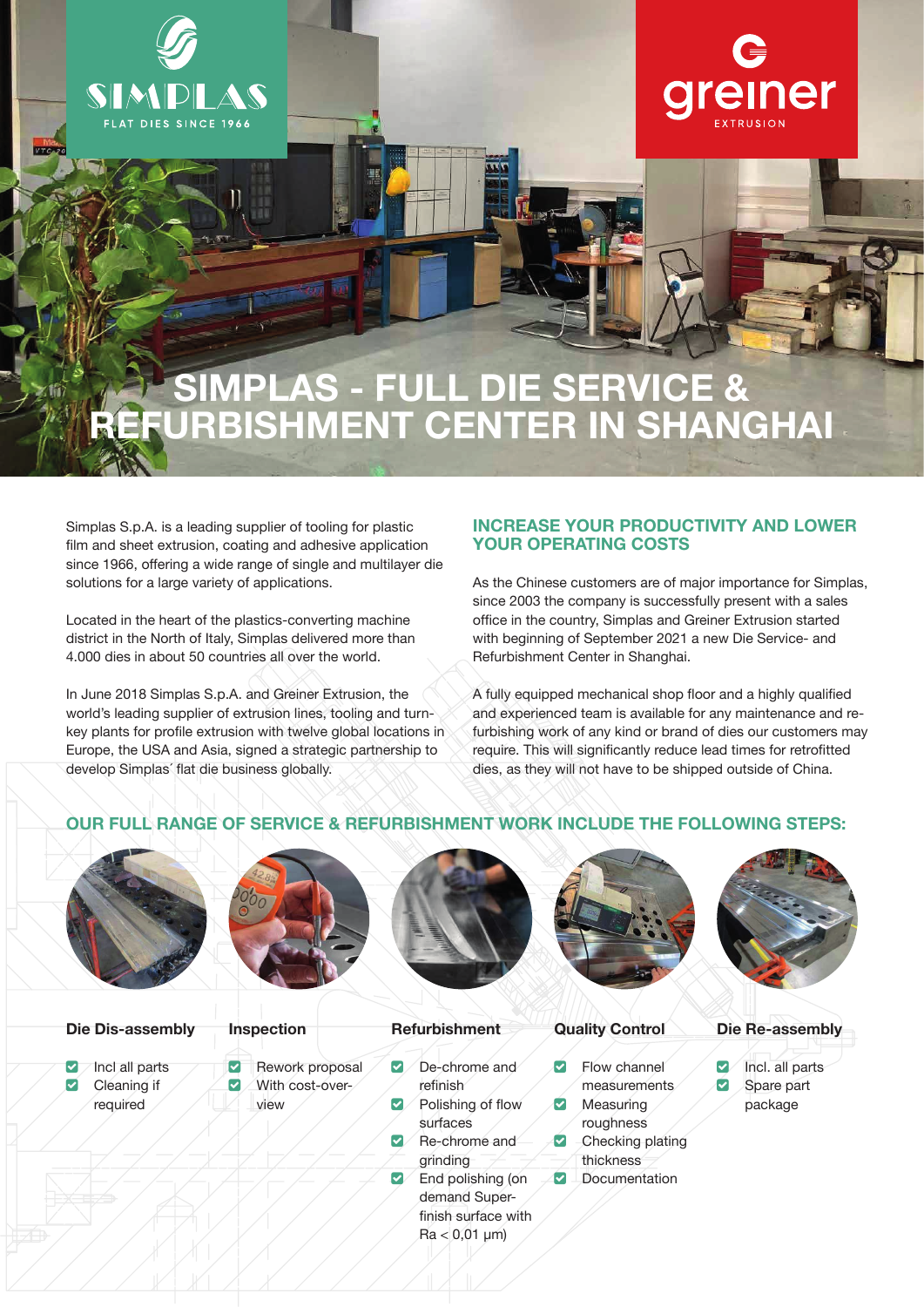

**VTON21** 



# SIMPLAS - FULL DIE SERVICE & REFURBISHMENT CENTER IN SHANGHAI

Simplas S.p.A. is a leading supplier of tooling for plastic film and sheet extrusion, coating and adhesive application since 1966, offering a wide range of single and multilayer die solutions for a large variety of applications.

Located in the heart of the plastics-converting machine district in the North of Italy, Simplas delivered more than 4.000 dies in about 50 countries all over the world.

In June 2018 Simplas S.p.A. and Greiner Extrusion, the world's leading supplier of extrusion lines, tooling and turnkey plants for profile extrusion with twelve global locations in Europe, the USA and Asia, signed a strategic partnership to develop Simplas´ flat die business globally.

# **INCREASE YOUR PRODUCTIVITY AND LOWER YOUR OPERATING COSTS**

As the Chinese customers are of major importance for Simplas, since 2003 the company is successfully present with a sales office in the country, Simplas and Greiner Extrusion started with beginning of September 2021 a new Die Service- and Refurbishment Center in Shanghai.

A fully equipped mechanical shop floor and a highly qualified and experienced team is available for any maintenance and refurbishing work of any kind or brand of dies our customers may require. This will significantly reduce lead times for retrofitted dies, as they will not have to be shipped outside of China.

# **OUR FULL RANGE OF SERVICE & REFURBISHMENT WORK INCLUDE THE FOLLOWING STEPS:**